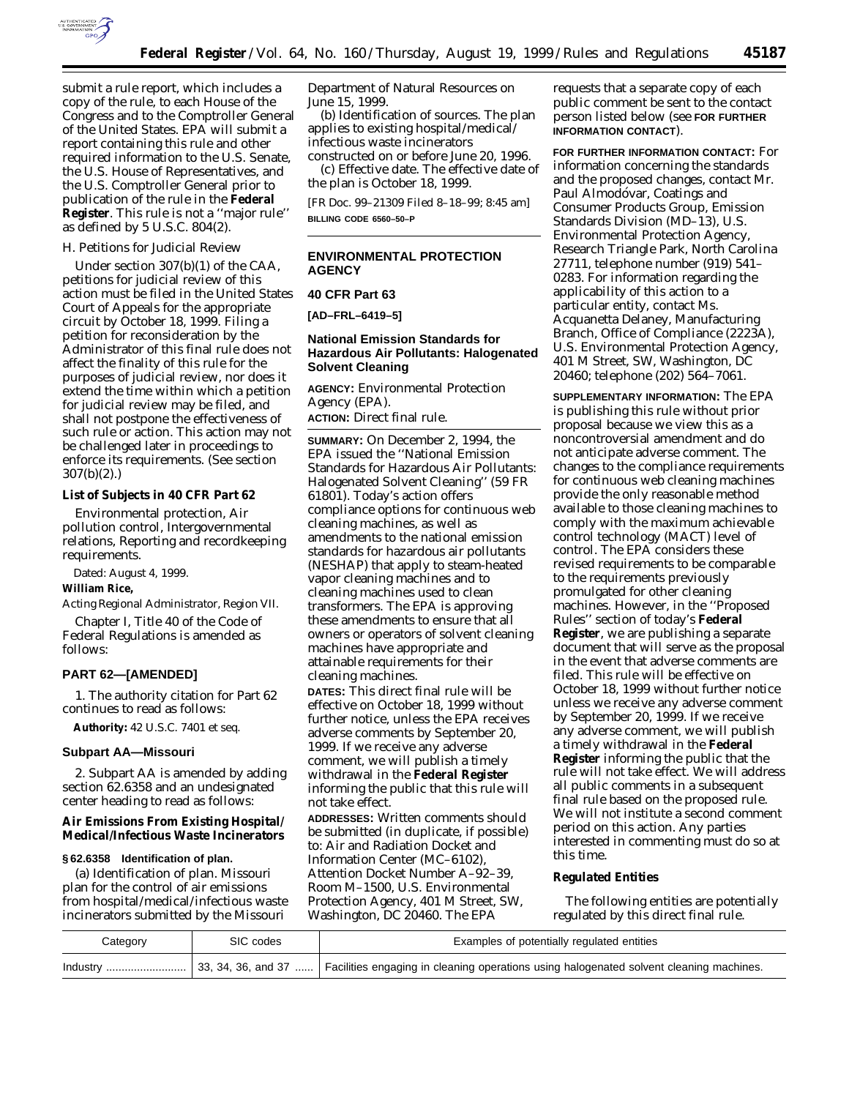

submit a rule report, which includes a copy of the rule, to each House of the Congress and to the Comptroller General of the United States. EPA will submit a report containing this rule and other required information to the U.S. Senate, the U.S. House of Representatives, and the U.S. Comptroller General prior to publication of the rule in the **Federal Register**. This rule is not a ''major rule'' as defined by 5 U.S.C. 804(2).

### *H. Petitions for Judicial Review*

Under section 307(b)(1) of the CAA, petitions for judicial review of this action must be filed in the United States Court of Appeals for the appropriate circuit by October 18, 1999. Filing a petition for reconsideration by the Administrator of this final rule does not affect the finality of this rule for the purposes of judicial review, nor does it extend the time within which a petition for judicial review may be filed, and shall not postpone the effectiveness of such rule or action. This action may not be challenged later in proceedings to enforce its requirements. (See section 307(b)(2).)

## **List of Subjects in 40 CFR Part 62**

Environmental protection, Air pollution control, Intergovernmental relations, Reporting and recordkeeping requirements.

Dated: August 4, 1999.

### **William Rice,**

*Acting Regional Administrator, Region VII.*

Chapter I, Title 40 of the Code of Federal Regulations is amended as follows:

### **PART 62—[AMENDED]**

1. The authority citation for Part 62 continues to read as follows:

**Authority:** 42 U.S.C. 7401 *et seq.*

#### **Subpart AA—Missouri**

2. Subpart AA is amended by adding section 62.6358 and an undesignated center heading to read as follows:

# **Air Emissions From Existing Hospital/ Medical/Infectious Waste Incinerators**

#### **§ 62.6358 Identification of plan.**

(a) Identification of plan. Missouri plan for the control of air emissions from hospital/medical/infectious waste incinerators submitted by the Missouri

Department of Natural Resources on June 15, 1999.

(b) Identification of sources. The plan applies to existing hospital/medical/ infectious waste incinerators constructed on or before June 20, 1996.

(c) Effective date. The effective date of the plan is October 18, 1999.

[FR Doc. 99–21309 Filed 8–18–99; 8:45 am] **BILLING CODE 6560–50–P**

#### **ENVIRONMENTAL PROTECTION AGENCY**

#### **40 CFR Part 63**

**[AD–FRL–6419–5]**

## **National Emission Standards for Hazardous Air Pollutants: Halogenated Solvent Cleaning**

**AGENCY:** Environmental Protection Agency (EPA).

**ACTION:** Direct final rule.

**SUMMARY:** On December 2, 1994, the EPA issued the ''National Emission Standards for Hazardous Air Pollutants: Halogenated Solvent Cleaning'' (59 FR 61801). Today's action offers compliance options for continuous web cleaning machines, as well as amendments to the national emission standards for hazardous air pollutants (NESHAP) that apply to steam-heated vapor cleaning machines and to cleaning machines used to clean transformers. The EPA is approving these amendments to ensure that all owners or operators of solvent cleaning machines have appropriate and attainable requirements for their cleaning machines.

**DATES:** This direct final rule will be effective on October 18, 1999 without further notice, unless the EPA receives adverse comments by September 20, 1999. If we receive any adverse comment, we will publish a timely withdrawal in the **Federal Register** informing the public that this rule will not take effect.

**ADDRESSES:** Written comments should be submitted (in duplicate, if possible) to: Air and Radiation Docket and Information Center (MC–6102), Attention Docket Number A–92–39, Room M–1500, U.S. Environmental Protection Agency, 401 M Street, SW, Washington, DC 20460. The EPA

requests that a separate copy of each public comment be sent to the contact person listed below (see **FOR FURTHER INFORMATION CONTACT**).

**FOR FURTHER INFORMATION CONTACT:** For information concerning the standards and the proposed changes, contact Mr. Paul Almodóvar, Coatings and Consumer Products Group, Emission Standards Division (MD–13), U.S. Environmental Protection Agency, Research Triangle Park, North Carolina 27711, telephone number (919) 541– 0283. For information regarding the applicability of this action to a particular entity, contact Ms. Acquanetta Delaney, Manufacturing Branch, Office of Compliance (2223A), U.S. Environmental Protection Agency, 401 M Street, SW, Washington, DC 20460; telephone (202) 564–7061.

**SUPPLEMENTARY INFORMATION:** The EPA is publishing this rule without prior proposal because we view this as a noncontroversial amendment and do not anticipate adverse comment. The changes to the compliance requirements for continuous web cleaning machines provide the only reasonable method available to those cleaning machines to comply with the maximum achievable control technology (MACT) level of control. The EPA considers these revised requirements to be comparable to the requirements previously promulgated for other cleaning machines. However, in the ''Proposed Rules'' section of today's **Federal Register**, we are publishing a separate document that will serve as the proposal in the event that adverse comments are filed. This rule will be effective on October 18, 1999 without further notice unless we receive any adverse comment by September 20, 1999. If we receive any adverse comment, we will publish a timely withdrawal in the **Federal Register** informing the public that the rule will not take effect. We will address all public comments in a subsequent final rule based on the proposed rule. We will not institute a second comment period on this action. Any parties interested in commenting must do so at this time.

#### **Regulated Entities**

The following entities are potentially regulated by this direct final rule.

| Category | SIC codes | Examples of potentially regulated entities                                                                           |
|----------|-----------|----------------------------------------------------------------------------------------------------------------------|
| Industry |           | $\sim$ 33, 34, 36, and 37    Facilities engaging in cleaning operations using halogenated solvent cleaning machines. |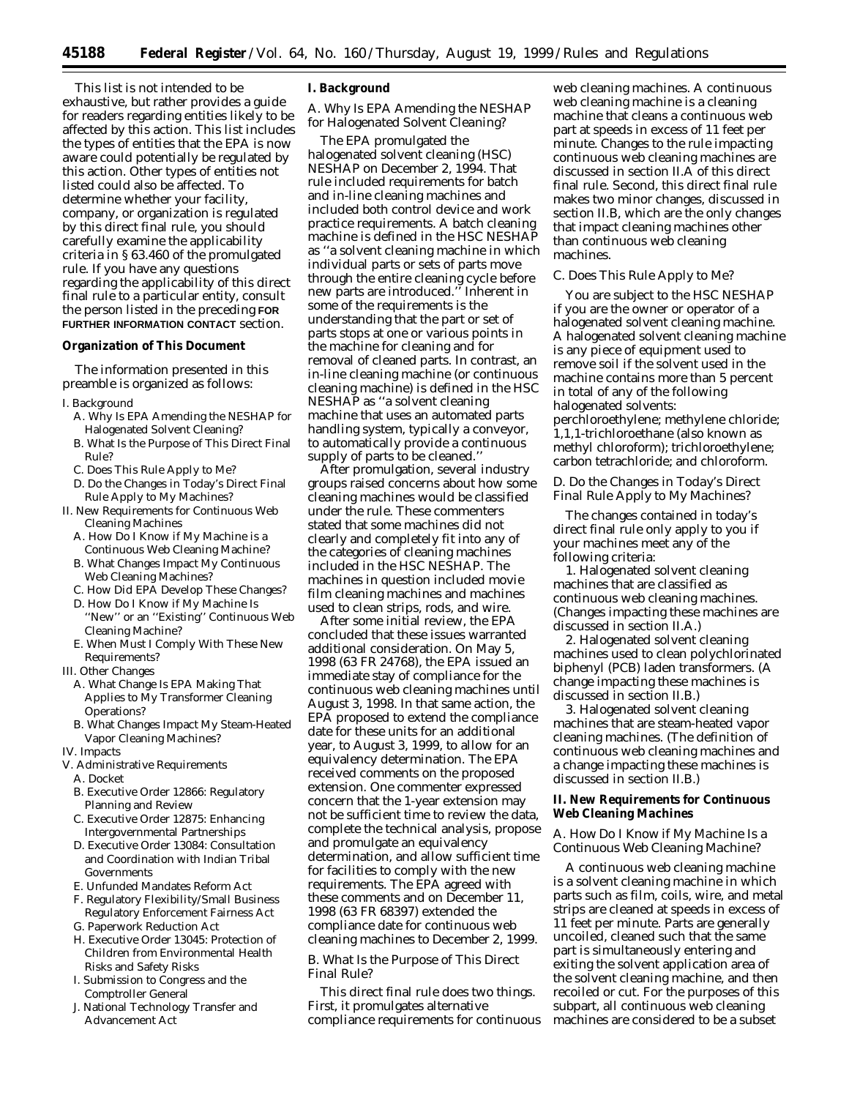This list is not intended to be exhaustive, but rather provides a guide for readers regarding entities likely to be affected by this action. This list includes the types of entities that the EPA is now aware could potentially be regulated by this action. Other types of entities not listed could also be affected. To determine whether your facility, company, or organization is regulated by this direct final rule, you should carefully examine the applicability criteria in § 63.460 of the promulgated rule. If you have any questions regarding the applicability of this direct final rule to a particular entity, consult the person listed in the preceding **FOR FURTHER INFORMATION CONTACT** section.

#### **Organization of This Document**

The information presented in this preamble is organized as follows:

- I. Background
	- A. Why Is EPA Amending the NESHAP for Halogenated Solvent Cleaning?
	- B. What Is the Purpose of This Direct Final Rule?
	- C. Does This Rule Apply to Me?
	- D. Do the Changes in Today's Direct Final Rule Apply to My Machines?
- II. New Requirements for Continuous Web Cleaning Machines
- A. How Do I Know if My Machine is a Continuous Web Cleaning Machine?
- B. What Changes Impact My Continuous Web Cleaning Machines?
- C. How Did EPA Develop These Changes?
- D. How Do I Know if My Machine Is ''New'' or an ''Existing'' Continuous Web Cleaning Machine?
- E. When Must I Comply With These New Requirements?
- III. Other Changes
	- A. What Change Is EPA Making That Applies to My Transformer Cleaning Operations?
	- B. What Changes Impact My Steam-Heated Vapor Cleaning Machines?
- IV. Impacts
- V. Administrative Requirements A. Docket
	- B. Executive Order 12866: Regulatory
	- Planning and Review C. Executive Order 12875: Enhancing
	- Intergovernmental Partnerships D. Executive Order 13084: Consultation
	- and Coordination with Indian Tribal Governments
	- E. Unfunded Mandates Reform Act
	- F. Regulatory Flexibility/Small Business Regulatory Enforcement Fairness Act
	- G. Paperwork Reduction Act
	- H. Executive Order 13045: Protection of Children from Environmental Health Risks and Safety Risks
	- I. Submission to Congress and the Comptroller General
	- J. National Technology Transfer and Advancement Act

#### **I. Background**

### *A. Why Is EPA Amending the NESHAP for Halogenated Solvent Cleaning?*

The EPA promulgated the halogenated solvent cleaning (HSC) NESHAP on December 2, 1994. That rule included requirements for batch and in-line cleaning machines and included both control device and work practice requirements. A batch cleaning machine is defined in the HSC NESHAP as ''a solvent cleaning machine in which individual parts or sets of parts move through the entire cleaning cycle before new parts are introduced.'' Inherent in some of the requirements is the understanding that the part or set of parts stops at one or various points in the machine for cleaning and for removal of cleaned parts. In contrast, an in-line cleaning machine (or continuous cleaning machine) is defined in the HSC NESHAP as ''a solvent cleaning machine that uses an automated parts handling system, typically a conveyor, to automatically provide a continuous supply of parts to be cleaned.''

After promulgation, several industry groups raised concerns about how some cleaning machines would be classified under the rule. These commenters stated that some machines did not clearly and completely fit into any of the categories of cleaning machines included in the HSC NESHAP. The machines in question included movie film cleaning machines and machines used to clean strips, rods, and wire.

After some initial review, the EPA concluded that these issues warranted additional consideration. On May 5, 1998 (63 FR 24768), the EPA issued an immediate stay of compliance for the continuous web cleaning machines until August 3, 1998. In that same action, the EPA proposed to extend the compliance date for these units for an additional year, to August 3, 1999, to allow for an equivalency determination. The EPA received comments on the proposed extension. One commenter expressed concern that the 1-year extension may not be sufficient time to review the data, complete the technical analysis, propose and promulgate an equivalency determination, and allow sufficient time for facilities to comply with the new requirements. The EPA agreed with these comments and on December 11, 1998 (63 FR 68397) extended the compliance date for continuous web cleaning machines to December 2, 1999.

## *B. What Is the Purpose of This Direct Final Rule?*

This direct final rule does two things. First, it promulgates alternative compliance requirements for continuous

web cleaning machines. A continuous web cleaning machine is a cleaning machine that cleans a continuous web part at speeds in excess of 11 feet per minute. Changes to the rule impacting continuous web cleaning machines are discussed in section II.A of this direct final rule. Second, this direct final rule makes two minor changes, discussed in section II.B, which are the only changes that impact cleaning machines other than continuous web cleaning machines.

#### *C. Does This Rule Apply to Me?*

You are subject to the HSC NESHAP if you are the owner or operator of a halogenated solvent cleaning machine. A halogenated solvent cleaning machine is any piece of equipment used to remove soil if the solvent used in the machine contains more than 5 percent in total of any of the following halogenated solvents: perchloroethylene; methylene chloride; 1,1,1-trichloroethane (also known as methyl chloroform); trichloroethylene; carbon tetrachloride; and chloroform.

## *D. Do the Changes in Today's Direct Final Rule Apply to My Machines?*

The changes contained in today's direct final rule only apply to you if your machines meet any of the following criteria:

1. Halogenated solvent cleaning machines that are classified as continuous web cleaning machines. (Changes impacting these machines are discussed in section II.A.)

2. Halogenated solvent cleaning machines used to clean polychlorinated biphenyl (PCB) laden transformers. (A change impacting these machines is discussed in section II.B.)

3. Halogenated solvent cleaning machines that are steam-heated vapor cleaning machines. (The definition of continuous web cleaning machines and a change impacting these machines is discussed in section II.B.)

## **II. New Requirements for Continuous Web Cleaning Machines**

### *A. How Do I Know if My Machine Is a Continuous Web Cleaning Machine?*

A continuous web cleaning machine is a solvent cleaning machine in which parts such as film, coils, wire, and metal strips are cleaned at speeds in excess of 11 feet per minute. Parts are generally uncoiled, cleaned such that the same part is simultaneously entering and exiting the solvent application area of the solvent cleaning machine, and then recoiled or cut. For the purposes of this subpart, all continuous web cleaning machines are considered to be a subset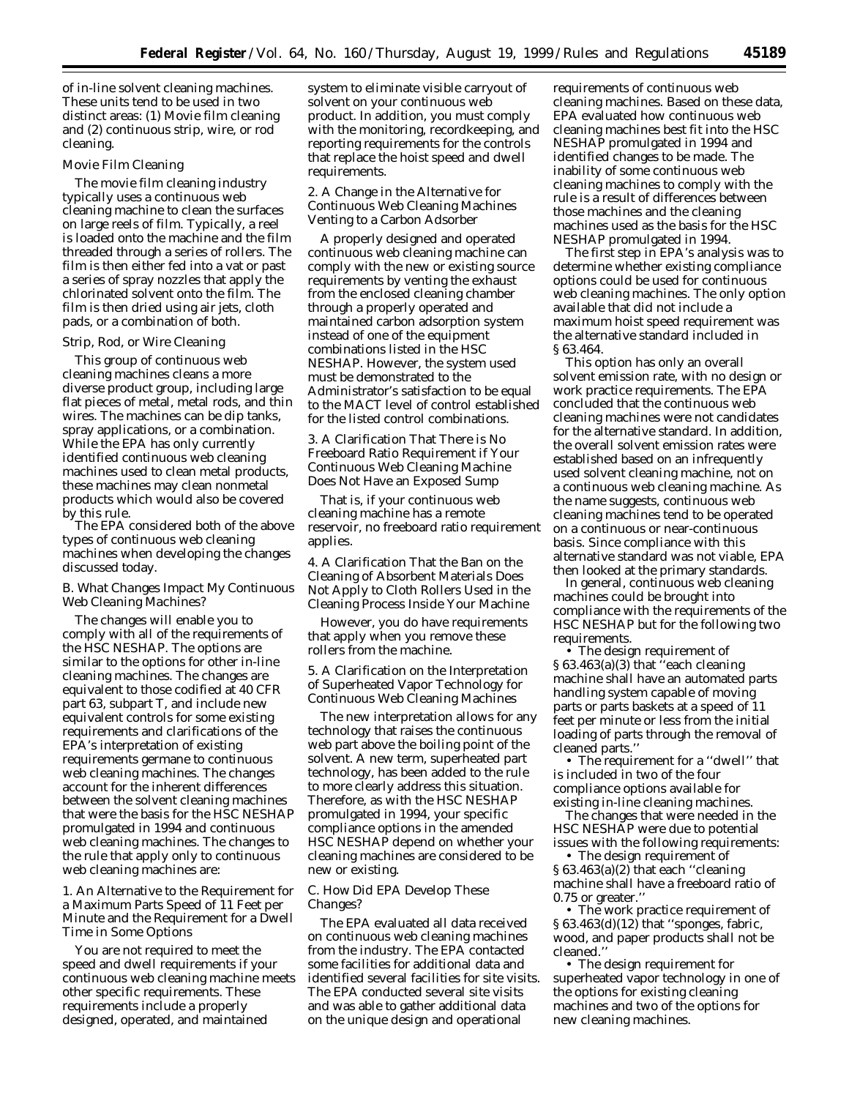of in-line solvent cleaning machines. These units tend to be used in two distinct areas: (1) Movie film cleaning and (2) continuous strip, wire, or rod cleaning.

### Movie Film Cleaning

The movie film cleaning industry typically uses a continuous web cleaning machine to clean the surfaces on large reels of film. Typically, a reel is loaded onto the machine and the film threaded through a series of rollers. The film is then either fed into a vat or past a series of spray nozzles that apply the chlorinated solvent onto the film. The film is then dried using air jets, cloth pads, or a combination of both.

#### Strip, Rod, or Wire Cleaning

This group of continuous web cleaning machines cleans a more diverse product group, including large flat pieces of metal, metal rods, and thin wires. The machines can be dip tanks, spray applications, or a combination. While the EPA has only currently identified continuous web cleaning machines used to clean metal products, these machines may clean nonmetal products which would also be covered by this rule.

The EPA considered both of the above types of continuous web cleaning machines when developing the changes discussed today.

### *B. What Changes Impact My Continuous Web Cleaning Machines?*

The changes will enable you to comply with all of the requirements of the HSC NESHAP. The options are similar to the options for other in-line cleaning machines. The changes are equivalent to those codified at 40 CFR part 63, subpart T, and include new equivalent controls for some existing requirements and clarifications of the EPA's interpretation of existing requirements germane to continuous web cleaning machines. The changes account for the inherent differences between the solvent cleaning machines that were the basis for the HSC NESHAP promulgated in 1994 and continuous web cleaning machines. The changes to the rule that apply only to continuous web cleaning machines are:

1. An Alternative to the Requirement for a Maximum Parts Speed of 11 Feet per Minute and the Requirement for a Dwell Time in Some Options

You are not required to meet the speed and dwell requirements if your continuous web cleaning machine meets other specific requirements. These requirements include a properly designed, operated, and maintained

system to eliminate visible carryout of solvent on your continuous web product. In addition, you must comply with the monitoring, recordkeeping, and reporting requirements for the controls that replace the hoist speed and dwell requirements.

2. A Change in the Alternative for Continuous Web Cleaning Machines Venting to a Carbon Adsorber

A properly designed and operated continuous web cleaning machine can comply with the new or existing source requirements by venting the exhaust from the enclosed cleaning chamber through a properly operated and maintained carbon adsorption system instead of one of the equipment combinations listed in the HSC NESHAP. However, the system used must be demonstrated to the Administrator's satisfaction to be equal to the MACT level of control established for the listed control combinations.

3. A Clarification That There is No Freeboard Ratio Requirement if Your Continuous Web Cleaning Machine Does Not Have an Exposed Sump

That is, if your continuous web cleaning machine has a remote reservoir, no freeboard ratio requirement applies.

4. A Clarification That the Ban on the Cleaning of Absorbent Materials Does Not Apply to Cloth Rollers Used in the Cleaning Process Inside Your Machine

However, you do have requirements that apply when you remove these rollers from the machine.

5. A Clarification on the Interpretation of Superheated Vapor Technology for Continuous Web Cleaning Machines

The new interpretation allows for any technology that raises the continuous web part above the boiling point of the solvent. A new term, superheated part technology, has been added to the rule to more clearly address this situation. Therefore, as with the HSC NESHAP promulgated in 1994, your specific compliance options in the amended HSC NESHAP depend on whether your cleaning machines are considered to be new or existing.

### *C. How Did EPA Develop These Changes?*

The EPA evaluated all data received on continuous web cleaning machines from the industry. The EPA contacted some facilities for additional data and identified several facilities for site visits. The EPA conducted several site visits and was able to gather additional data on the unique design and operational

requirements of continuous web cleaning machines. Based on these data, EPA evaluated how continuous web cleaning machines best fit into the HSC NESHAP promulgated in 1994 and identified changes to be made. The inability of some continuous web cleaning machines to comply with the rule is a result of differences between those machines and the cleaning machines used as the basis for the HSC NESHAP promulgated in 1994.

The first step in EPA's analysis was to determine whether existing compliance options could be used for continuous web cleaning machines. The only option available that did not include a maximum hoist speed requirement was the alternative standard included in § 63.464.

This option has only an overall solvent emission rate, with no design or work practice requirements. The EPA concluded that the continuous web cleaning machines were not candidates for the alternative standard. In addition, the overall solvent emission rates were established based on an infrequently used solvent cleaning machine, not on a continuous web cleaning machine. As the name suggests, continuous web cleaning machines tend to be operated on a continuous or near-continuous basis. Since compliance with this alternative standard was not viable, EPA then looked at the primary standards.

In general, continuous web cleaning machines could be brought into compliance with the requirements of the HSC NESHAP but for the following two requirements.

• The design requirement of § 63.463(a)(3) that ''each cleaning machine shall have an automated parts handling system capable of moving parts or parts baskets at a speed of 11 feet per minute or less from the initial loading of parts through the removal of cleaned parts.''

• The requirement for a ''dwell'' that is included in two of the four compliance options available for existing in-line cleaning machines.

The changes that were needed in the HSC NESHAP were due to potential issues with the following requirements:

• The design requirement of § 63.463(a)(2) that each ''cleaning machine shall have a freeboard ratio of 0.75 or greater.''

• The work practice requirement of § 63.463(d)(12) that ''sponges, fabric, wood, and paper products shall not be cleaned.''

• The design requirement for superheated vapor technology in one of the options for existing cleaning machines and two of the options for new cleaning machines.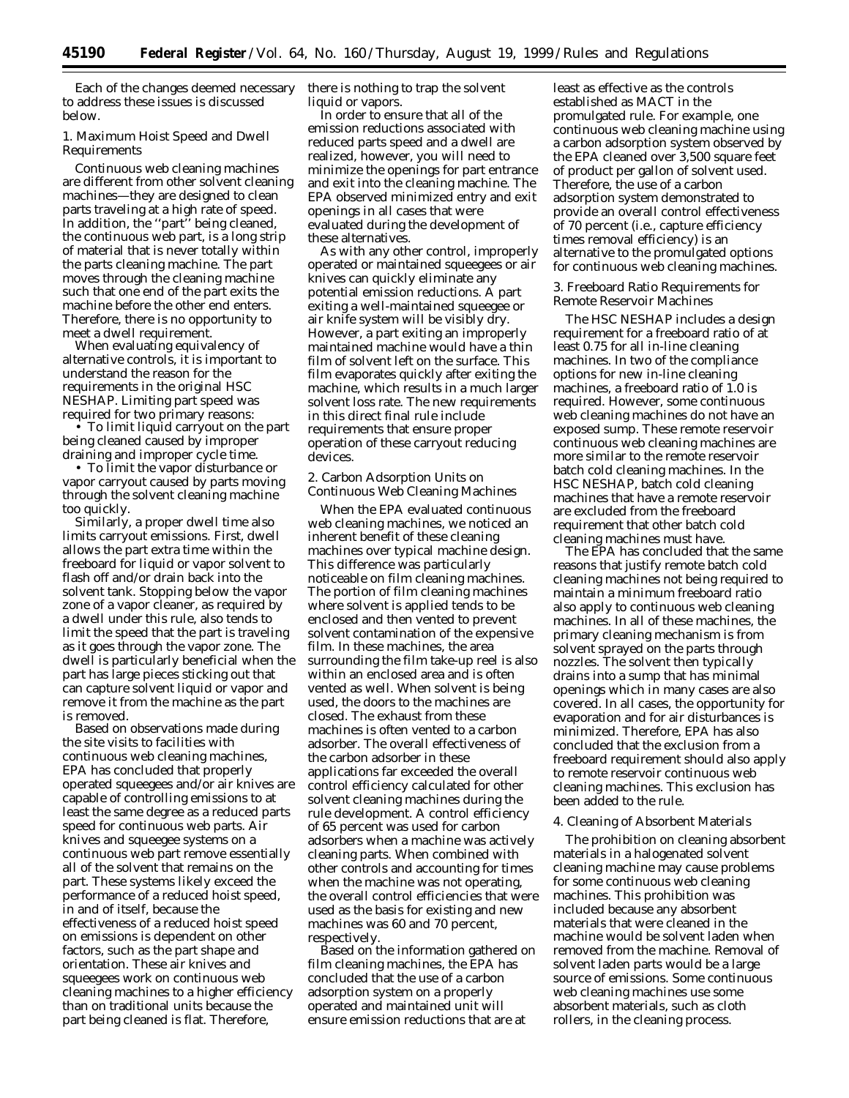Each of the changes deemed necessary to address these issues is discussed below.

### 1. Maximum Hoist Speed and Dwell Requirements

Continuous web cleaning machines are different from other solvent cleaning machines—they are designed to clean parts traveling at a high rate of speed. In addition, the ''part'' being cleaned, the continuous web part, is a long strip of material that is never totally within the parts cleaning machine. The part moves through the cleaning machine such that one end of the part exits the machine before the other end enters. Therefore, there is no opportunity to meet a dwell requirement.

When evaluating equivalency of alternative controls, it is important to understand the reason for the requirements in the original HSC NESHAP. Limiting part speed was required for two primary reasons:

• To limit liquid carryout on the part being cleaned caused by improper draining and improper cycle time.

• To limit the vapor disturbance or vapor carryout caused by parts moving through the solvent cleaning machine too quickly.

Similarly, a proper dwell time also limits carryout emissions. First, dwell allows the part extra time within the freeboard for liquid or vapor solvent to flash off and/or drain back into the solvent tank. Stopping below the vapor zone of a vapor cleaner, as required by a dwell under this rule, also tends to limit the speed that the part is traveling as it goes through the vapor zone. The dwell is particularly beneficial when the part has large pieces sticking out that can capture solvent liquid or vapor and remove it from the machine as the part is removed.

Based on observations made during the site visits to facilities with continuous web cleaning machines, EPA has concluded that properly operated squeegees and/or air knives are capable of controlling emissions to at least the same degree as a reduced parts speed for continuous web parts. Air knives and squeegee systems on a continuous web part remove essentially all of the solvent that remains on the part. These systems likely exceed the performance of a reduced hoist speed, in and of itself, because the effectiveness of a reduced hoist speed on emissions is dependent on other factors, such as the part shape and orientation. These air knives and squeegees work on continuous web cleaning machines to a higher efficiency than on traditional units because the part being cleaned is flat. Therefore,

there is nothing to trap the solvent liquid or vapors.

In order to ensure that all of the emission reductions associated with reduced parts speed and a dwell are realized, however, you will need to minimize the openings for part entrance and exit into the cleaning machine. The EPA observed minimized entry and exit openings in all cases that were evaluated during the development of these alternatives.

As with any other control, improperly operated or maintained squeegees or air knives can quickly eliminate any potential emission reductions. A part exiting a well-maintained squeegee or air knife system will be visibly dry. However, a part exiting an improperly maintained machine would have a thin film of solvent left on the surface. This film evaporates quickly after exiting the machine, which results in a much larger solvent loss rate. The new requirements in this direct final rule include requirements that ensure proper operation of these carryout reducing devices.

2. Carbon Adsorption Units on Continuous Web Cleaning Machines

When the EPA evaluated continuous web cleaning machines, we noticed an inherent benefit of these cleaning machines over typical machine design. This difference was particularly noticeable on film cleaning machines. The portion of film cleaning machines where solvent is applied tends to be enclosed and then vented to prevent solvent contamination of the expensive film. In these machines, the area surrounding the film take-up reel is also within an enclosed area and is often vented as well. When solvent is being used, the doors to the machines are closed. The exhaust from these machines is often vented to a carbon adsorber. The overall effectiveness of the carbon adsorber in these applications far exceeded the overall control efficiency calculated for other solvent cleaning machines during the rule development. A control efficiency of 65 percent was used for carbon adsorbers when a machine was actively cleaning parts. When combined with other controls and accounting for times when the machine was not operating, the overall control efficiencies that were used as the basis for existing and new machines was 60 and 70 percent, respectively.

Based on the information gathered on film cleaning machines, the EPA has concluded that the use of a carbon adsorption system on a properly operated and maintained unit will ensure emission reductions that are at

least as effective as the controls established as MACT in the promulgated rule. For example, one continuous web cleaning machine using a carbon adsorption system observed by the EPA cleaned over 3,500 square feet of product per gallon of solvent used. Therefore, the use of a carbon adsorption system demonstrated to provide an overall control effectiveness of 70 percent (*i.e.*, capture efficiency times removal efficiency) is an alternative to the promulgated options for continuous web cleaning machines.

3. Freeboard Ratio Requirements for Remote Reservoir Machines

The HSC NESHAP includes a design requirement for a freeboard ratio of at least 0.75 for all in-line cleaning machines. In two of the compliance options for new in-line cleaning machines, a freeboard ratio of 1.0 is required. However, some continuous web cleaning machines do not have an exposed sump. These remote reservoir continuous web cleaning machines are more similar to the remote reservoir batch cold cleaning machines. In the HSC NESHAP, batch cold cleaning machines that have a remote reservoir are excluded from the freeboard requirement that other batch cold cleaning machines must have.

The EPA has concluded that the same reasons that justify remote batch cold cleaning machines not being required to maintain a minimum freeboard ratio also apply to continuous web cleaning machines. In all of these machines, the primary cleaning mechanism is from solvent sprayed on the parts through nozzles. The solvent then typically drains into a sump that has minimal openings which in many cases are also covered. In all cases, the opportunity for evaporation and for air disturbances is minimized. Therefore, EPA has also concluded that the exclusion from a freeboard requirement should also apply to remote reservoir continuous web cleaning machines. This exclusion has been added to the rule.

#### 4. Cleaning of Absorbent Materials

The prohibition on cleaning absorbent materials in a halogenated solvent cleaning machine may cause problems for some continuous web cleaning machines. This prohibition was included because any absorbent materials that were cleaned in the machine would be solvent laden when removed from the machine. Removal of solvent laden parts would be a large source of emissions. Some continuous web cleaning machines use some absorbent materials, such as cloth rollers, in the cleaning process.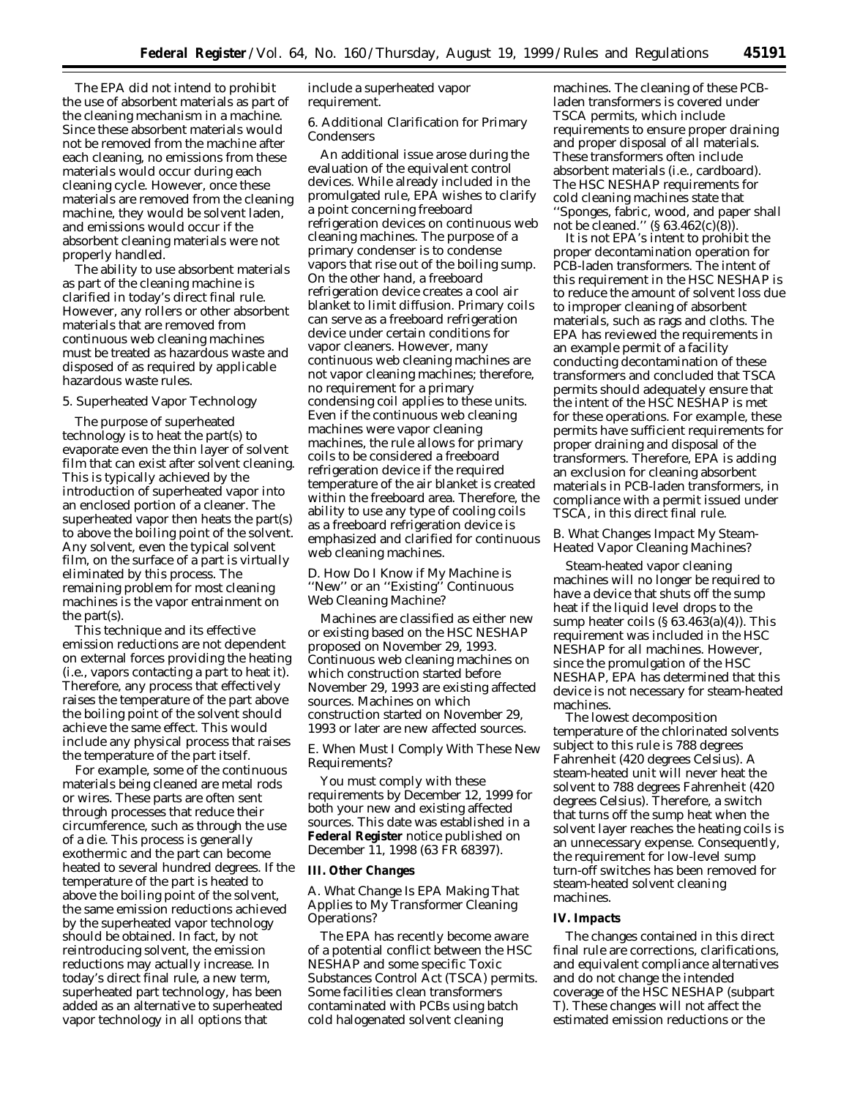The EPA did not intend to prohibit the use of absorbent materials as part of the cleaning mechanism in a machine. Since these absorbent materials would not be removed from the machine after each cleaning, no emissions from these materials would occur during each cleaning cycle. However, once these materials are removed from the cleaning machine, they would be solvent laden, and emissions would occur if the absorbent cleaning materials were not properly handled.

The ability to use absorbent materials as part of the cleaning machine is clarified in today's direct final rule. However, any rollers or other absorbent materials that are removed from continuous web cleaning machines must be treated as hazardous waste and disposed of as required by applicable hazardous waste rules.

### 5. Superheated Vapor Technology

The purpose of superheated technology is to heat the part(s) to evaporate even the thin layer of solvent film that can exist after solvent cleaning. This is typically achieved by the introduction of superheated vapor into an enclosed portion of a cleaner. The superheated vapor then heats the part(s) to above the boiling point of the solvent. Any solvent, even the typical solvent film, on the surface of a part is virtually eliminated by this process. The remaining problem for most cleaning machines is the vapor entrainment on the part(s).

This technique and its effective emission reductions are not dependent on external forces providing the heating (*i.e.*, vapors contacting a part to heat it). Therefore, any process that effectively raises the temperature of the part above the boiling point of the solvent should achieve the same effect. This would include any physical process that raises the temperature of the part itself.

For example, some of the continuous materials being cleaned are metal rods or wires. These parts are often sent through processes that reduce their circumference, such as through the use of a die. This process is generally exothermic and the part can become heated to several hundred degrees. If the temperature of the part is heated to above the boiling point of the solvent, the same emission reductions achieved by the superheated vapor technology should be obtained. In fact, by not reintroducing solvent, the emission reductions may actually increase. In today's direct final rule, a new term, superheated part technology, has been added as an alternative to superheated vapor technology in all options that

include a superheated vapor requirement.

6. Additional Clarification for Primary **Condensers** 

An additional issue arose during the evaluation of the equivalent control devices. While already included in the promulgated rule, EPA wishes to clarify a point concerning freeboard refrigeration devices on continuous web cleaning machines. The purpose of a primary condenser is to condense vapors that rise out of the boiling sump. On the other hand, a freeboard refrigeration device creates a cool air blanket to limit diffusion. Primary coils can serve as a freeboard refrigeration device under certain conditions for vapor cleaners. However, many continuous web cleaning machines are not vapor cleaning machines; therefore, no requirement for a primary condensing coil applies to these units. Even if the continuous web cleaning machines were vapor cleaning machines, the rule allows for primary coils to be considered a freeboard refrigeration device if the required temperature of the air blanket is created within the freeboard area. Therefore, the ability to use any type of cooling coils as a freeboard refrigeration device is emphasized and clarified for continuous web cleaning machines.

### *D. How Do I Know if My Machine is ''New'' or an ''Existing'' Continuous Web Cleaning Machine?*

Machines are classified as either new or existing based on the HSC NESHAP proposed on November 29, 1993. Continuous web cleaning machines on which construction started before November 29, 1993 are existing affected sources. Machines on which construction started on November 29, 1993 or later are new affected sources.

### *E. When Must I Comply With These New Requirements?*

You must comply with these requirements by December 12, 1999 for both your new and existing affected sources. This date was established in a **Federal Register** notice published on December 11, 1998 (63 FR 68397).

## **III. Other Changes**

## *A. What Change Is EPA Making That Applies to My Transformer Cleaning Operations?*

The EPA has recently become aware of a potential conflict between the HSC NESHAP and some specific Toxic Substances Control Act (TSCA) permits. Some facilities clean transformers contaminated with PCBs using batch cold halogenated solvent cleaning

machines. The cleaning of these PCBladen transformers is covered under TSCA permits, which include requirements to ensure proper draining and proper disposal of all materials. These transformers often include absorbent materials (*i.e.*, cardboard). The HSC NESHAP requirements for cold cleaning machines state that ''Sponges, fabric, wood, and paper shall not be cleaned.'' (§ 63.462(c)(8)).

It is not EPA's intent to prohibit the proper decontamination operation for PCB-laden transformers. The intent of this requirement in the HSC NESHAP is to reduce the amount of solvent loss due to improper cleaning of absorbent materials, such as rags and cloths. The EPA has reviewed the requirements in an example permit of a facility conducting decontamination of these transformers and concluded that TSCA permits should adequately ensure that the intent of the HSC NESHAP is met for these operations. For example, these permits have sufficient requirements for proper draining and disposal of the transformers. Therefore, EPA is adding an exclusion for cleaning absorbent materials in PCB-laden transformers, in compliance with a permit issued under TSCA, in this direct final rule.

### *B. What Changes Impact My Steam-Heated Vapor Cleaning Machines?*

Steam-heated vapor cleaning machines will no longer be required to have a device that shuts off the sump heat if the liquid level drops to the sump heater coils  $(\S 63.463(a)(4))$ . This requirement was included in the HSC NESHAP for all machines. However, since the promulgation of the HSC NESHAP, EPA has determined that this device is not necessary for steam-heated machines.

The lowest decomposition temperature of the chlorinated solvents subject to this rule is 788 degrees Fahrenheit (420 degrees Celsius). A steam-heated unit will never heat the solvent to 788 degrees Fahrenheit (420 degrees Celsius). Therefore, a switch that turns off the sump heat when the solvent layer reaches the heating coils is an unnecessary expense. Consequently, the requirement for low-level sump turn-off switches has been removed for steam-heated solvent cleaning machines.

# **IV. Impacts**

The changes contained in this direct final rule are corrections, clarifications, and equivalent compliance alternatives and do not change the intended coverage of the HSC NESHAP (subpart T). These changes will not affect the estimated emission reductions or the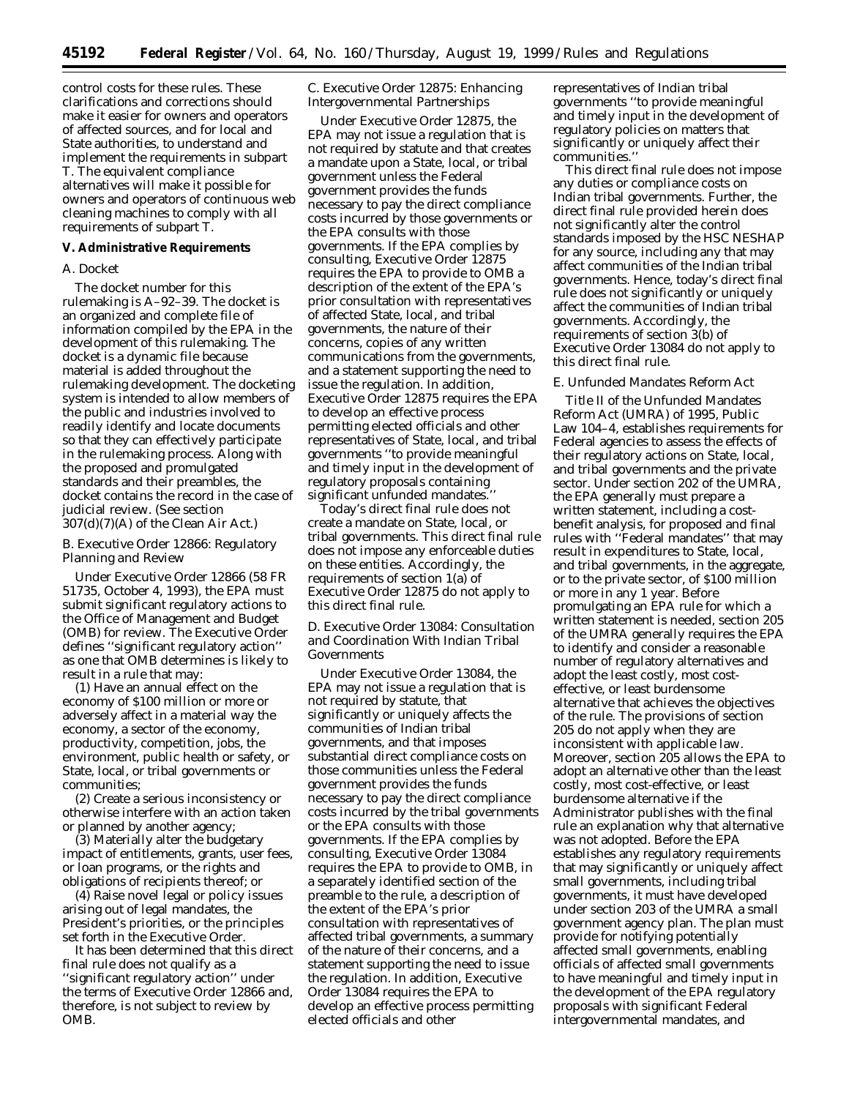control costs for these rules. These clarifications and corrections should make it easier for owners and operators of affected sources, and for local and State authorities, to understand and implement the requirements in subpart T. The equivalent compliance alternatives will make it possible for owners and operators of continuous web cleaning machines to comply with all requirements of subpart T.

## **V. Administrative Requirements**

#### *A. Docket*

The docket number for this rulemaking is A–92–39. The docket is an organized and complete file of information compiled by the EPA in the development of this rulemaking. The docket is a dynamic file because material is added throughout the rulemaking development. The docketing system is intended to allow members of the public and industries involved to readily identify and locate documents so that they can effectively participate in the rulemaking process. Along with the proposed and promulgated standards and their preambles, the docket contains the record in the case of judicial review. (See section 307(d)(7)(A) of the Clean Air Act.)

### *B. Executive Order 12866: Regulatory Planning and Review*

Under Executive Order 12866 (58 FR 51735, October 4, 1993), the EPA must submit significant regulatory actions to the Office of Management and Budget (OMB) for review. The Executive Order defines ''significant regulatory action'' as one that OMB determines is likely to result in a rule that may:

(1) Have an annual effect on the economy of \$100 million or more or adversely affect in a material way the economy, a sector of the economy, productivity, competition, jobs, the environment, public health or safety, or State, local, or tribal governments or communities;

(2) Create a serious inconsistency or otherwise interfere with an action taken or planned by another agency;

(3) Materially alter the budgetary impact of entitlements, grants, user fees, or loan programs, or the rights and obligations of recipients thereof; or

(4) Raise novel legal or policy issues arising out of legal mandates, the President's priorities, or the principles set forth in the Executive Order.

It has been determined that this direct final rule does not qualify as a ''significant regulatory action'' under the terms of Executive Order 12866 and, therefore, is not subject to review by OMB.

## *C. Executive Order 12875: Enhancing Intergovernmental Partnerships*

Under Executive Order 12875, the EPA may not issue a regulation that is not required by statute and that creates a mandate upon a State, local, or tribal government unless the Federal government provides the funds necessary to pay the direct compliance costs incurred by those governments or the EPA consults with those governments. If the EPA complies by consulting, Executive Order 12875 requires the EPA to provide to OMB a description of the extent of the EPA's prior consultation with representatives of affected State, local, and tribal governments, the nature of their concerns, copies of any written communications from the governments, and a statement supporting the need to issue the regulation. In addition, Executive Order 12875 requires the EPA to develop an effective process permitting elected officials and other representatives of State, local, and tribal governments ''to provide meaningful and timely input in the development of regulatory proposals containing significant unfunded mandates.

Today's direct final rule does not create a mandate on State, local, or tribal governments. This direct final rule does not impose any enforceable duties on these entities. Accordingly, the requirements of section 1(a) of Executive Order 12875 do not apply to this direct final rule.

## *D. Executive Order 13084: Consultation and Coordination With Indian Tribal Governments*

Under Executive Order 13084, the EPA may not issue a regulation that is not required by statute, that significantly or uniquely affects the communities of Indian tribal governments, and that imposes substantial direct compliance costs on those communities unless the Federal government provides the funds necessary to pay the direct compliance costs incurred by the tribal governments or the EPA consults with those governments. If the EPA complies by consulting, Executive Order 13084 requires the EPA to provide to OMB, in a separately identified section of the preamble to the rule, a description of the extent of the EPA's prior consultation with representatives of affected tribal governments, a summary of the nature of their concerns, and a statement supporting the need to issue the regulation. In addition, Executive Order 13084 requires the EPA to develop an effective process permitting elected officials and other

representatives of Indian tribal governments ''to provide meaningful and timely input in the development of regulatory policies on matters that significantly or uniquely affect their communities.''

This direct final rule does not impose any duties or compliance costs on Indian tribal governments. Further, the direct final rule provided herein does not significantly alter the control standards imposed by the HSC NESHAP for any source, including any that may affect communities of the Indian tribal governments. Hence, today's direct final rule does not significantly or uniquely affect the communities of Indian tribal governments. Accordingly, the requirements of section 3(b) of Executive Order 13084 do not apply to this direct final rule.

#### *E. Unfunded Mandates Reform Act*

Title II of the Unfunded Mandates Reform Act (UMRA) of 1995, Public Law 104–4, establishes requirements for Federal agencies to assess the effects of their regulatory actions on State, local, and tribal governments and the private sector. Under section 202 of the UMRA, the EPA generally must prepare a written statement, including a costbenefit analysis, for proposed and final rules with ''Federal mandates'' that may result in expenditures to State, local, and tribal governments, in the aggregate, or to the private sector, of \$100 million or more in any 1 year. Before promulgating an EPA rule for which a written statement is needed, section 205 of the UMRA generally requires the EPA to identify and consider a reasonable number of regulatory alternatives and adopt the least costly, most costeffective, or least burdensome alternative that achieves the objectives of the rule. The provisions of section 205 do not apply when they are inconsistent with applicable law. Moreover, section 205 allows the EPA to adopt an alternative other than the least costly, most cost-effective, or least burdensome alternative if the Administrator publishes with the final rule an explanation why that alternative was not adopted. Before the EPA establishes any regulatory requirements that may significantly or uniquely affect small governments, including tribal governments, it must have developed under section 203 of the UMRA a small government agency plan. The plan must provide for notifying potentially affected small governments, enabling officials of affected small governments to have meaningful and timely input in the development of the EPA regulatory proposals with significant Federal intergovernmental mandates, and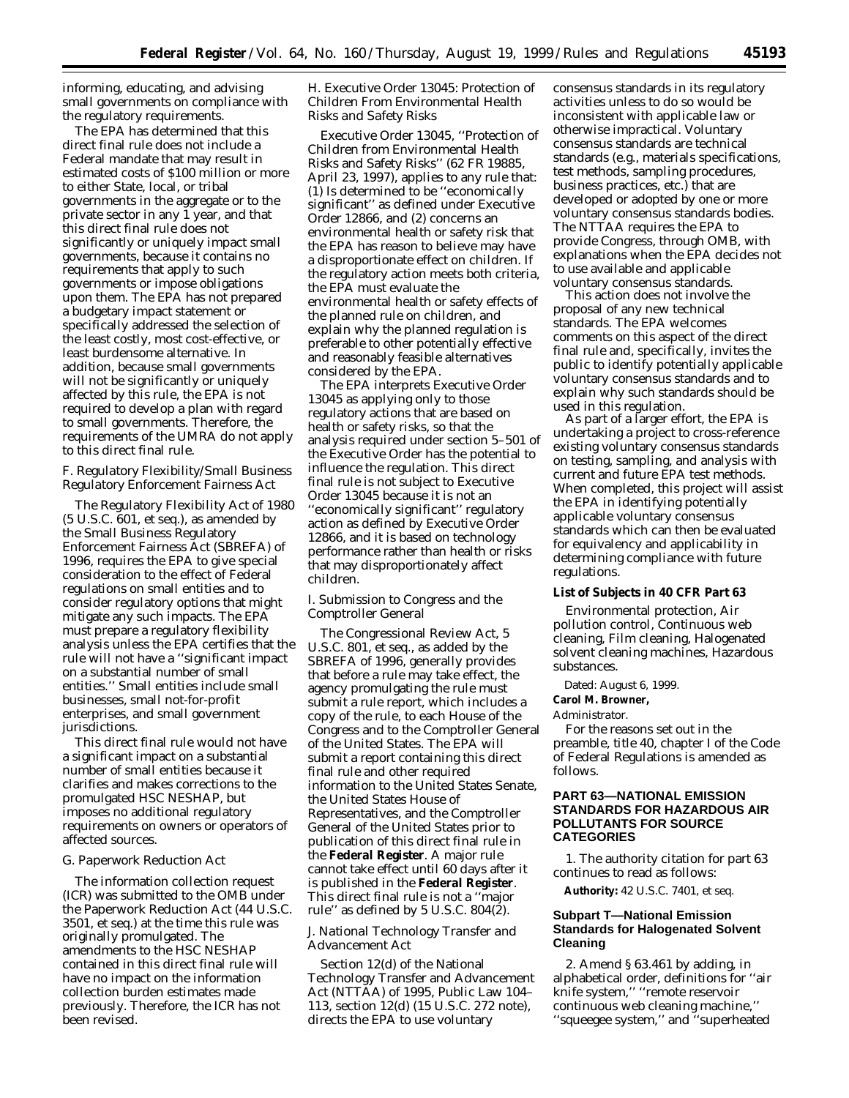informing, educating, and advising small governments on compliance with the regulatory requirements.

The EPA has determined that this direct final rule does not include a Federal mandate that may result in estimated costs of \$100 million or more to either State, local, or tribal governments in the aggregate or to the private sector in any 1 year, and that this direct final rule does not significantly or uniquely impact small governments, because it contains no requirements that apply to such governments or impose obligations upon them. The EPA has not prepared a budgetary impact statement or specifically addressed the selection of the least costly, most cost-effective, or least burdensome alternative. In addition, because small governments will not be significantly or uniquely affected by this rule, the EPA is not required to develop a plan with regard to small governments. Therefore, the requirements of the UMRA do not apply to this direct final rule.

## *F. Regulatory Flexibility/Small Business Regulatory Enforcement Fairness Act*

The Regulatory Flexibility Act of 1980 (5 U.S.C. 601, *et seq.*), as amended by the Small Business Regulatory Enforcement Fairness Act (SBREFA) of 1996, requires the EPA to give special consideration to the effect of Federal regulations on small entities and to consider regulatory options that might mitigate any such impacts. The EPA must prepare a regulatory flexibility analysis unless the EPA certifies that the rule will not have a ''significant impact on a substantial number of small entities.'' Small entities include small businesses, small not-for-profit enterprises, and small government jurisdictions.

This direct final rule would not have a significant impact on a substantial number of small entities because it clarifies and makes corrections to the promulgated HSC NESHAP, but imposes no additional regulatory requirements on owners or operators of affected sources.

## *G. Paperwork Reduction Act*

The information collection request (ICR) was submitted to the OMB under the Paperwork Reduction Act (44 U.S.C. 3501, *et seq.*) at the time this rule was originally promulgated. The amendments to the HSC NESHAP contained in this direct final rule will have no impact on the information collection burden estimates made previously. Therefore, the ICR has not been revised.

### *H. Executive Order 13045: Protection of Children From Environmental Health Risks and Safety Risks*

Executive Order 13045, ''Protection of Children from Environmental Health Risks and Safety Risks'' (62 FR 19885, April 23, 1997), applies to any rule that: (1) Is determined to be ''economically significant'' as defined under Executive Order 12866, and (2) concerns an environmental health or safety risk that the EPA has reason to believe may have a disproportionate effect on children. If the regulatory action meets both criteria, the EPA must evaluate the environmental health or safety effects of the planned rule on children, and explain why the planned regulation is preferable to other potentially effective and reasonably feasible alternatives considered by the EPA.

The EPA interprets Executive Order 13045 as applying only to those regulatory actions that are based on health or safety risks, so that the analysis required under section 5–501 of the Executive Order has the potential to influence the regulation. This direct final rule is not subject to Executive Order 13045 because it is not an ''economically significant'' regulatory action as defined by Executive Order 12866, and it is based on technology performance rather than health or risks that may disproportionately affect children.

### *I. Submission to Congress and the Comptroller General*

The Congressional Review Act, 5 U.S.C. 801, *et seq.*, as added by the SBREFA of 1996, generally provides that before a rule may take effect, the agency promulgating the rule must submit a rule report, which includes a copy of the rule, to each House of the Congress and to the Comptroller General of the United States. The EPA will submit a report containing this direct final rule and other required information to the United States Senate, the United States House of Representatives, and the Comptroller General of the United States prior to publication of this direct final rule in the **Federal Register**. A major rule cannot take effect until 60 days after it is published in the **Federal Register**. This direct final rule is not a ''major rule'' as defined by 5 U.S.C. 804(2).

### *J. National Technology Transfer and Advancement Act*

Section 12(d) of the National Technology Transfer and Advancement Act (NTTAA) of 1995, Public Law 104– 113, section 12(d) (15 U.S.C. 272 note), directs the EPA to use voluntary

consensus standards in its regulatory activities unless to do so would be inconsistent with applicable law or otherwise impractical. Voluntary consensus standards are technical standards (*e.g.,* materials specifications, test methods, sampling procedures, business practices, etc.) that are developed or adopted by one or more voluntary consensus standards bodies. The NTTAA requires the EPA to provide Congress, through OMB, with explanations when the EPA decides not to use available and applicable voluntary consensus standards.

This action does not involve the proposal of any new technical standards. The EPA welcomes comments on this aspect of the direct final rule and, specifically, invites the public to identify potentially applicable voluntary consensus standards and to explain why such standards should be used in this regulation.

As part of a larger effort, the EPA is undertaking a project to cross-reference existing voluntary consensus standards on testing, sampling, and analysis with current and future EPA test methods. When completed, this project will assist the EPA in identifying potentially applicable voluntary consensus standards which can then be evaluated for equivalency and applicability in determining compliance with future regulations.

### **List of Subjects in 40 CFR Part 63**

Environmental protection, Air pollution control, Continuous web cleaning, Film cleaning, Halogenated solvent cleaning machines, Hazardous substances.

#### Dated: August 6, 1999.

**Carol M. Browner,**

#### *Administrator.*

For the reasons set out in the preamble, title 40, chapter I of the Code of Federal Regulations is amended as follows.

### **PART 63—NATIONAL EMISSION STANDARDS FOR HAZARDOUS AIR POLLUTANTS FOR SOURCE CATEGORIES**

1. The authority citation for part 63 continues to read as follows:

**Authority:** 42 U.S.C. 7401, *et seq.*

### **Subpart T—National Emission Standards for Halogenated Solvent Cleaning**

2. Amend § 63.461 by adding, in alphabetical order, definitions for ''air knife system,'' ''remote reservoir continuous web cleaning machine,'' ''squeegee system,'' and ''superheated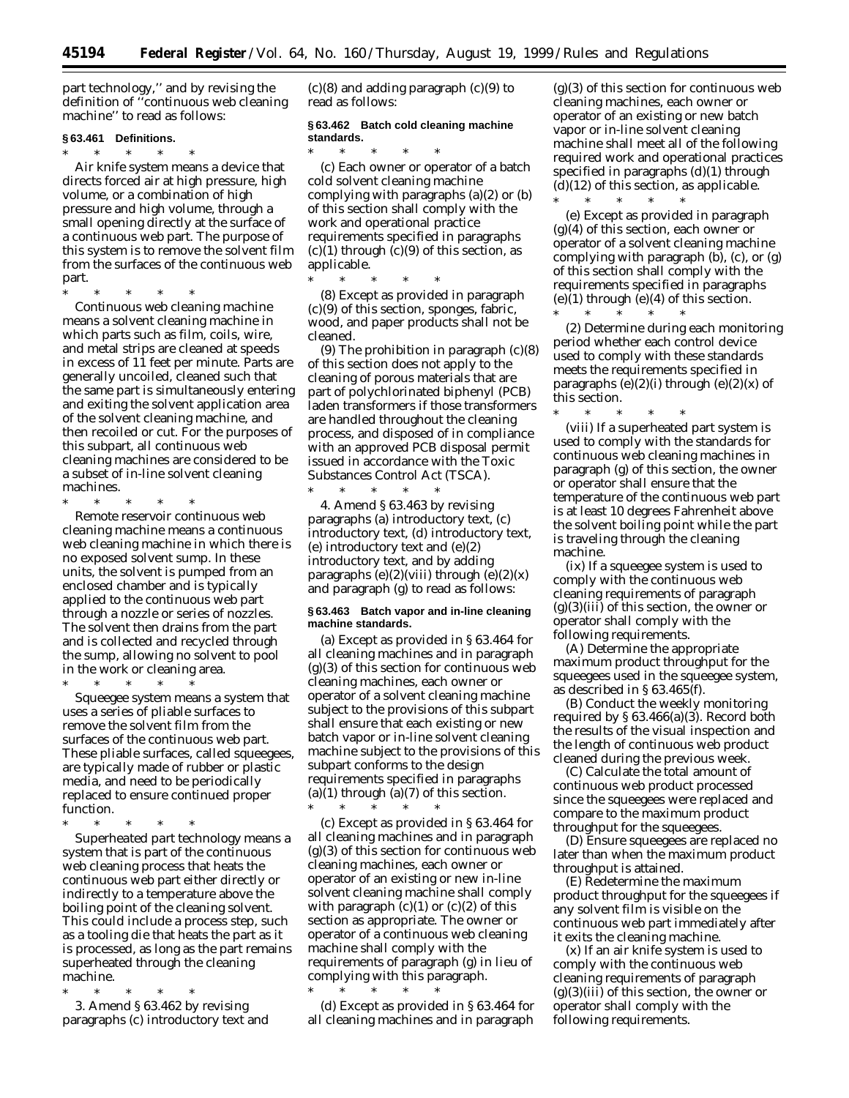part technology,'' and by revising the definition of ''continuous web cleaning machine'' to read as follows:

#### **§ 63.461 Definitions.**

\* \* \* \* \* *Air knife system* means a device that directs forced air at high pressure, high volume, or a combination of high pressure and high volume, through a small opening directly at the surface of a continuous web part. The purpose of this system is to remove the solvent film from the surfaces of the continuous web part.

\* \* \* \* \* *Continuous web cleaning machine* means a solvent cleaning machine in which parts such as film, coils, wire, and metal strips are cleaned at speeds in excess of 11 feet per minute. Parts are generally uncoiled, cleaned such that the same part is simultaneously entering and exiting the solvent application area of the solvent cleaning machine, and then recoiled or cut. For the purposes of this subpart, all continuous web cleaning machines are considered to be a subset of in-line solvent cleaning machines.

\* \* \* \* \* *Remote reservoir continuous web cleaning machine* means a continuous web cleaning machine in which there is no exposed solvent sump. In these units, the solvent is pumped from an enclosed chamber and is typically applied to the continuous web part through a nozzle or series of nozzles. The solvent then drains from the part and is collected and recycled through the sump, allowing no solvent to pool in the work or cleaning area.

\* \* \* \* \* *Squeegee system* means a system that uses a series of pliable surfaces to remove the solvent film from the surfaces of the continuous web part. These pliable surfaces, called squeegees, are typically made of rubber or plastic media, and need to be periodically replaced to ensure continued proper function.

\* \* \* \* \* *Superheated part technology* means a system that is part of the continuous web cleaning process that heats the continuous web part either directly or indirectly to a temperature above the boiling point of the cleaning solvent. This could include a process step, such as a tooling die that heats the part as it is processed, as long as the part remains superheated through the cleaning machine.

\* \* \* \* \* 3. Amend § 63.462 by revising paragraphs (c) introductory text and  $(c)(8)$  and adding paragraph  $(c)(9)$  to read as follows:

### **§ 63.462 Batch cold cleaning machine standards.**

\* \* \* \* \* (c) Each owner or operator of a batch cold solvent cleaning machine complying with paragraphs (a)(2) or (b) of this section shall comply with the work and operational practice requirements specified in paragraphs  $(c)(1)$  through  $(c)(9)$  of this section, as applicable.

\* \* \* \* \* (8) Except as provided in paragraph (c)(9) of this section, sponges, fabric, wood, and paper products shall not be cleaned.

(9) The prohibition in paragraph  $(c)(8)$ of this section does not apply to the cleaning of porous materials that are part of polychlorinated biphenyl (PCB) laden transformers if those transformers are handled throughout the cleaning process, and disposed of in compliance with an approved PCB disposal permit issued in accordance with the Toxic Substances Control Act (TSCA).

\* \* \* \* \* 4. Amend § 63.463 by revising paragraphs (a) introductory text, (c) introductory text, (d) introductory text, (e) introductory text and (e)(2) introductory text, and by adding paragraphs  $(e)(2)(viii)$  through  $(e)(2)(x)$ and paragraph (g) to read as follows:

### **§ 63.463 Batch vapor and in-line cleaning machine standards.**

(a) Except as provided in § 63.464 for all cleaning machines and in paragraph  $(g)(3)$  of this section for continuous web cleaning machines, each owner or operator of a solvent cleaning machine subject to the provisions of this subpart shall ensure that each existing or new batch vapor or in-line solvent cleaning machine subject to the provisions of this subpart conforms to the design requirements specified in paragraphs  $(a)(1)$  through  $(a)(7)$  of this section.

\* \* \* \* \* (c) Except as provided in § 63.464 for all cleaning machines and in paragraph  $(g)(3)$  of this section for continuous web cleaning machines, each owner or operator of an existing or new in-line solvent cleaning machine shall comply with paragraph  $(c)(1)$  or  $(c)(2)$  of this section as appropriate. The owner or operator of a continuous web cleaning machine shall comply with the requirements of paragraph (g) in lieu of complying with this paragraph.

\* \* \* \* \* (d) Except as provided in § 63.464 for all cleaning machines and in paragraph

 $(g)(3)$  of this section for continuous web cleaning machines, each owner or operator of an existing or new batch vapor or in-line solvent cleaning machine shall meet all of the following required work and operational practices specified in paragraphs (d)(1) through  $(d)(12)$  of this section, as applicable.

\* \* \* \* \* (e) Except as provided in paragraph (g)(4) of this section, each owner or operator of a solvent cleaning machine complying with paragraph (b), (c), or (g) of this section shall comply with the requirements specified in paragraphs  $(e)(1)$  through  $(e)(4)$  of this section.

\* \* \* \* \* (2) Determine during each monitoring period whether each control device used to comply with these standards meets the requirements specified in paragraphs  $(e)(2)(i)$  through  $(e)(2)(x)$  of this section.

\* \* \* \* \* (viii) If a superheated part system is used to comply with the standards for continuous web cleaning machines in paragraph (g) of this section, the owner or operator shall ensure that the temperature of the continuous web part is at least 10 degrees Fahrenheit above the solvent boiling point while the part is traveling through the cleaning machine.

(ix) If a squeegee system is used to comply with the continuous web cleaning requirements of paragraph  $(g)(3)(iii)$  of this section, the owner or operator shall comply with the following requirements.

(A) Determine the appropriate maximum product throughput for the squeegees used in the squeegee system, as described in § 63.465(f).

(B) Conduct the weekly monitoring required by § 63.466(a)(3). Record both the results of the visual inspection and the length of continuous web product cleaned during the previous week.

(C) Calculate the total amount of continuous web product processed since the squeegees were replaced and compare to the maximum product throughput for the squeegees.

(D) Ensure squeegees are replaced no later than when the maximum product throughput is attained.

(E) Redetermine the maximum product throughput for the squeegees if any solvent film is visible on the continuous web part immediately after it exits the cleaning machine.

(x) If an air knife system is used to comply with the continuous web cleaning requirements of paragraph  $(g)(3)(iii)$  of this section, the owner or operator shall comply with the following requirements.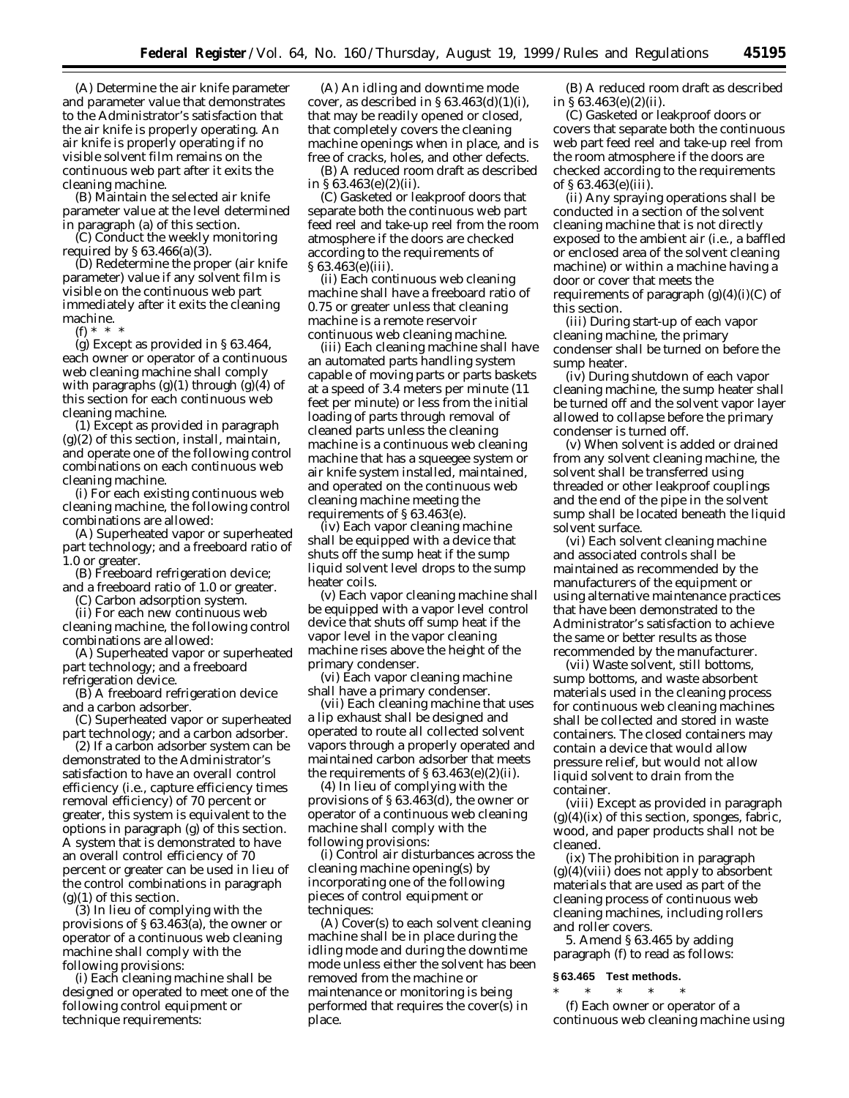(A) Determine the air knife parameter and parameter value that demonstrates to the Administrator's satisfaction that the air knife is properly operating. An air knife is properly operating if no visible solvent film remains on the continuous web part after it exits the cleaning machine.

(B) Maintain the selected air knife parameter value at the level determined in paragraph (a) of this section.

(C) Conduct the weekly monitoring required by § 63.466(a)(3).

(D) Redetermine the proper (air knife parameter) value if any solvent film is visible on the continuous web part immediately after it exits the cleaning machine.

(f) \* \* \*

(g) Except as provided in § 63.464, each owner or operator of a continuous web cleaning machine shall comply with paragraphs  $(g)(1)$  through  $(g)(4)$  of this section for each continuous web cleaning machine.

(1) Except as provided in paragraph  $(g)(2)$  of this section, install, maintain, and operate one of the following control combinations on each continuous web cleaning machine.

(i) For each existing continuous web cleaning machine, the following control combinations are allowed:

(A) Superheated vapor or superheated part technology; and a freeboard ratio of 1.0 or greater.

(B) Freeboard refrigeration device; and a freeboard ratio of 1.0 or greater.

(C) Carbon adsorption system.

(ii) For each new continuous web cleaning machine, the following control combinations are allowed:

(A) Superheated vapor or superheated part technology; and a freeboard refrigeration device.

(B) A freeboard refrigeration device and a carbon adsorber.

(C) Superheated vapor or superheated part technology; and a carbon adsorber.

(2) If a carbon adsorber system can be demonstrated to the Administrator's satisfaction to have an overall control efficiency (*i.e.*, capture efficiency times removal efficiency) of 70 percent or greater, this system is equivalent to the options in paragraph (g) of this section. A system that is demonstrated to have an overall control efficiency of 70 percent or greater can be used in lieu of the control combinations in paragraph  $(g)(1)$  of this section.

(3) In lieu of complying with the provisions of § 63.463(a), the owner or operator of a continuous web cleaning machine shall comply with the following provisions:

(i) Each cleaning machine shall be designed or operated to meet one of the following control equipment or technique requirements:

(A) An idling and downtime mode cover, as described in  $\S 63.463(d)(1)(i)$ , that may be readily opened or closed, that completely covers the cleaning machine openings when in place, and is free of cracks, holes, and other defects.

(B) A reduced room draft as described in § 63.463(e)(2)(ii).

(C) Gasketed or leakproof doors that separate both the continuous web part feed reel and take-up reel from the room atmosphere if the doors are checked according to the requirements of § 63.463(e)(iii).

(ii) Each continuous web cleaning machine shall have a freeboard ratio of 0.75 or greater unless that cleaning machine is a remote reservoir continuous web cleaning machine.

(iii) Each cleaning machine shall have an automated parts handling system capable of moving parts or parts baskets at a speed of 3.4 meters per minute (11 feet per minute) or less from the initial loading of parts through removal of cleaned parts unless the cleaning machine is a continuous web cleaning machine that has a squeegee system or air knife system installed, maintained, and operated on the continuous web cleaning machine meeting the requirements of § 63.463(e).

(iv) Each vapor cleaning machine shall be equipped with a device that shuts off the sump heat if the sump liquid solvent level drops to the sump heater coils.

(v) Each vapor cleaning machine shall be equipped with a vapor level control device that shuts off sump heat if the vapor level in the vapor cleaning machine rises above the height of the primary condenser.

(vi) Each vapor cleaning machine shall have a primary condenser.

(vii) Each cleaning machine that uses a lip exhaust shall be designed and operated to route all collected solvent vapors through a properly operated and maintained carbon adsorber that meets the requirements of  $\S 63.463(e)(2)(ii)$ .

(4) In lieu of complying with the provisions of § 63.463(d), the owner or operator of a continuous web cleaning machine shall comply with the following provisions:

(i) Control air disturbances across the cleaning machine opening(s) by incorporating one of the following pieces of control equipment or techniques:

(A) Cover(s) to each solvent cleaning machine shall be in place during the idling mode and during the downtime mode unless either the solvent has been removed from the machine or maintenance or monitoring is being performed that requires the cover(s) in place.

(B) A reduced room draft as described in § 63.463(e)(2)(ii).

(C) Gasketed or leakproof doors or covers that separate both the continuous web part feed reel and take-up reel from the room atmosphere if the doors are checked according to the requirements of § 63.463(e)(iii).

(ii) Any spraying operations shall be conducted in a section of the solvent cleaning machine that is not directly exposed to the ambient air (*i.e.*, a baffled or enclosed area of the solvent cleaning machine) or within a machine having a door or cover that meets the requirements of paragraph  $(g)(4)(i)(C)$  of this section.

(iii) During start-up of each vapor cleaning machine, the primary condenser shall be turned on before the sump heater.

(iv) During shutdown of each vapor cleaning machine, the sump heater shall be turned off and the solvent vapor layer allowed to collapse before the primary condenser is turned off.

(v) When solvent is added or drained from any solvent cleaning machine, the solvent shall be transferred using threaded or other leakproof couplings and the end of the pipe in the solvent sump shall be located beneath the liquid solvent surface.

(vi) Each solvent cleaning machine and associated controls shall be maintained as recommended by the manufacturers of the equipment or using alternative maintenance practices that have been demonstrated to the Administrator's satisfaction to achieve the same or better results as those recommended by the manufacturer.

(vii) Waste solvent, still bottoms, sump bottoms, and waste absorbent materials used in the cleaning process for continuous web cleaning machines shall be collected and stored in waste containers. The closed containers may contain a device that would allow pressure relief, but would not allow liquid solvent to drain from the container.

(viii) Except as provided in paragraph  $(g)(4)(ix)$  of this section, sponges, fabric, wood, and paper products shall not be cleaned.

(ix) The prohibition in paragraph  $(g)(4)(viii)$  does not apply to absorbent materials that are used as part of the cleaning process of continuous web cleaning machines, including rollers and roller covers.

5. Amend § 63.465 by adding paragraph (f) to read as follows:

### **§ 63.465 Test methods.**

\* \* \* \* \* (f) Each owner or operator of a continuous web cleaning machine using